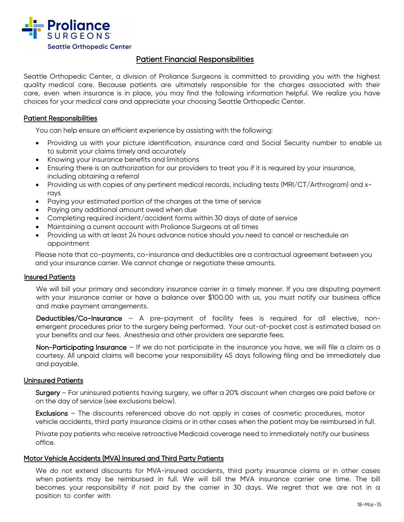

# Patient Financial Responsibilities

Seattle Orthopedic Center, a division of Proliance Surgeons is committed to providing you with the highest quality medical care. Because patients are ultimately responsible for the charges associated with their care, even when insurance is in place, you may find the following information helpful. We realize you have choices for your medical care and appreciate your choosing Seattle Orthopedic Center.

# Patient Responsibilities

You can help ensure an efficient experience by assisting with the following:

- Providing us with your picture identification, insurance card and Social Security number to enable us to submit your claims timely and accurately
- Knowing your insurance benefits and limitations
- Ensuring there is an authorization for our providers to treat you if it is required by your insurance, including obtaining a referral
- Providing us with copies of any pertinent medical records, including tests (MRI/CT/Arthrogram) and xrays
- Paying your estimated portion of the charges at the time of service
- Paying any additional amount owed when due
- Completing required incident/accident forms within 30 days of date of service
- Maintaining a current account with Proliance Surgeons at all times
- Providing us with at least 24 hours advance notice should you need to cancel or reschedule an appointment

Please note that co-payments, co-insurance and deductibles are a contractual agreement between you and your insurance carrier. We cannot change or negotiate these amounts.

### Insured Patients

We will bill your primary and secondary insurance carrier in a timely manner. If you are disputing payment with your insurance carrier or have a balance over \$100.00 with us, you must notify our business office and make payment arrangements.

Deductibles/Co-Insurance – A pre-payment of facility fees is required for all elective, nonemergent procedures prior to the surgery being performed. Your out-of-pocket cost is estimated based on your benefits and our fees. Anesthesia and other providers are separate fees.

Non-Participating Insurance – If we do not participate in the insurance you have, we will file a claim as a courtesy. All unpaid claims will become your responsibility 45 days following filing and be immediately due and payable.

### Uninsured Patients

Surgery – For uninsured patients having surgery, we offer a 20% discount when charges are paid before or on the day of service (see exclusions below).

Exclusions – The discounts referenced above do not apply in cases of cosmetic procedures, motor vehicle accidents, third party insurance claims or in other cases when the patient may be reimbursed in full.

Private pay patients who receive retroactive Medicaid coverage need to immediately notify our business office.

### Motor Vehicle Accidents (MVA) Insured and Third Party Patients

We do not extend discounts for MVA-insured accidents, third party insurance claims or in other cases when patients may be reimbursed in full. We will bill the MVA insurance carrier one time. The bill becomes your responsibility if not paid by the carrier in 30 days. We regret that we are not in a position to confer with